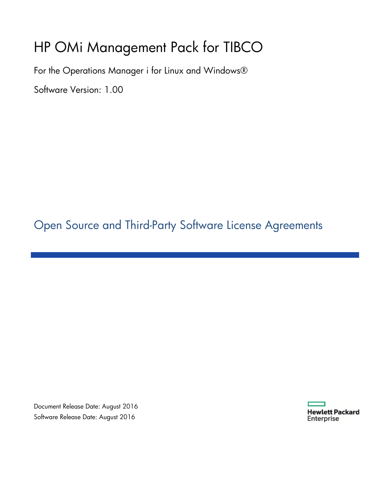## HP OMi Management Pack for TIBCO

For the Operations Manager i for Linux and Windows®

Software Version: 1.00

Open Source and Third-Party Software License Agreements

Document Release Date: August 2016 Software Release Date: August 2016

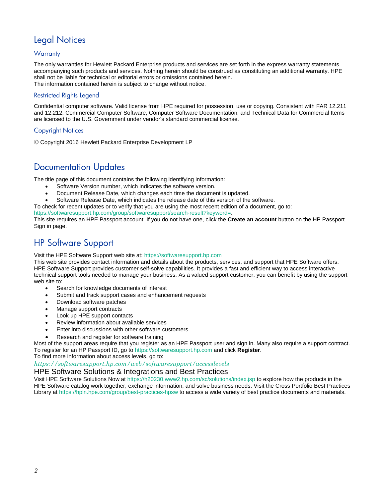### Legal Notices

### **Warranty**

The only warranties for Hewlett Packard Enterprise products and services are set forth in the express warranty statements accompanying such products and services. Nothing herein should be construed as constituting an additional warranty. HPE shall not be liable for technical or editorial errors or omissions contained herein. The information contained herein is subject to change without notice.

### Restricted Rights Legend

Confidential computer software. Valid license from HPE required for possession, use or copying. Consistent with FAR 12.211 and 12.212, Commercial Computer Software, Computer Software Documentation, and Technical Data for Commercial Items are licensed to the U.S. Government under vendor's standard commercial license.

### Copyright Notices

© Copyright 2016 Hewlett Packard Enterprise Development LP

### Documentation Updates

The title page of this document contains the following identifying information:

- Software Version number, which indicates the software version.
- Document Release Date, which changes each time the document is updated.
- Software Release Date, which indicates the release date of this version of the software.
- To check for recent updates or to verify that you are using the most recent edition of a document, go to:

https://softwaresupport.hp.com/group/softwaresupport/search-result?keyword=.

This site requires an HPE Passport account. If you do not have one, click the **Create an account** button on the HP Passport Sign in page.

### HP Software Support

Visit the HPE Software Support web site at: https://softwaresupport.hp.com

This web site provides contact information and details about the products, services, and support that HPE Software offers. HPE Software Support provides customer self-solve capabilities. It provides a fast and efficient way to access interactive technical support tools needed to manage your business. As a valued support customer, you can benefit by using the support web site to:

- Search for knowledge documents of interest
- Submit and track support cases and enhancement requests
- Download software patches
- Manage support contracts
- Look up HPE support contacts
- Review information about available services
- Enter into discussions with other software customers
- Research and register for software training

Most of the support areas require that you register as an HPE Passport user and sign in. Many also require a support contract. To register for an HP Passport ID, go to https://softwaresupport.hp.com and click **Register**.

To find more information about access levels, go to:

*<https://softwaresupport.hp.com/web/softwaresupport/accesslevels>*

### HPE Software Solutions & Integrations and Best Practices

Visit HPE Software Solutions Now at https://h20230.www2.hp.com/sc/solutions/index.jsp to explore how the products in the HPE Software catalog work together, exchange information, and solve business needs. Visit the Cross Portfolio Best Practices Library at https://hpln.hpe.com/group/best-practices-hpsw to access a wide variety of best practice documents and materials.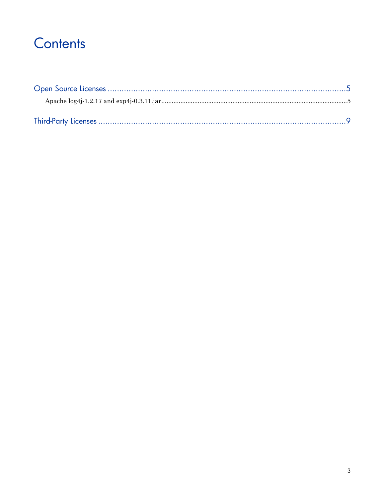## Contents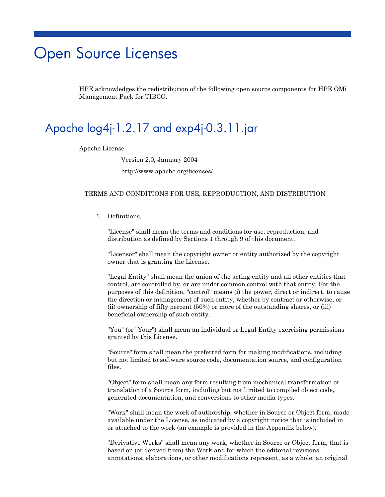## <span id="page-4-0"></span>Open Source Licenses

HPE acknowledges the redistribution of the following open source components for HPE OMi Management Pack for TIBCO.

## <span id="page-4-1"></span>Apache log4j-1.2.17 and exp4j-0.3.11.jar

Apache License

Version 2.0, January 2004

http://www.apache.org/licenses/

#### TERMS AND CONDITIONS FOR USE, REPRODUCTION, AND DISTRIBUTION

#### 1. Definitions.

"License" shall mean the terms and conditions for use, reproduction, and distribution as defined by Sections 1 through 9 of this document.

"Licensor" shall mean the copyright owner or entity authorized by the copyright owner that is granting the License.

"Legal Entity" shall mean the union of the acting entity and all other entities that control, are controlled by, or are under common control with that entity. For the purposes of this definition, "control" means (i) the power, direct or indirect, to cause the direction or management of such entity, whether by contract or otherwise, or (ii) ownership of fifty percent (50%) or more of the outstanding shares, or (iii) beneficial ownership of such entity.

"You" (or "Your") shall mean an individual or Legal Entity exercising permissions granted by this License.

"Source" form shall mean the preferred form for making modifications, including but not limited to software source code, documentation source, and configuration files.

"Object" form shall mean any form resulting from mechanical transformation or translation of a Source form, including but not limited to compiled object code, generated documentation, and conversions to other media types.

"Work" shall mean the work of authorship, whether in Source or Object form, made available under the License, as indicated by a copyright notice that is included in or attached to the work (an example is provided in the Appendix below).

"Derivative Works" shall mean any work, whether in Source or Object form, that is based on (or derived from) the Work and for which the editorial revisions, annotations, elaborations, or other modifications represent, as a whole, an original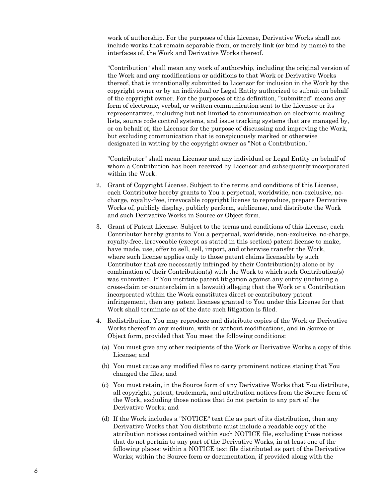work of authorship. For the purposes of this License, Derivative Works shall not include works that remain separable from, or merely link (or bind by name) to the interfaces of, the Work and Derivative Works thereof.

"Contribution" shall mean any work of authorship, including the original version of the Work and any modifications or additions to that Work or Derivative Works thereof, that is intentionally submitted to Licensor for inclusion in the Work by the copyright owner or by an individual or Legal Entity authorized to submit on behalf of the copyright owner. For the purposes of this definition, "submitted" means any form of electronic, verbal, or written communication sent to the Licensor or its representatives, including but not limited to communication on electronic mailing lists, source code control systems, and issue tracking systems that are managed by, or on behalf of, the Licensor for the purpose of discussing and improving the Work, but excluding communication that is conspicuously marked or otherwise designated in writing by the copyright owner as "Not a Contribution."

"Contributor" shall mean Licensor and any individual or Legal Entity on behalf of whom a Contribution has been received by Licensor and subsequently incorporated within the Work.

- 2. Grant of Copyright License. Subject to the terms and conditions of this License, each Contributor hereby grants to You a perpetual, worldwide, non-exclusive, nocharge, royalty-free, irrevocable copyright license to reproduce, prepare Derivative Works of, publicly display, publicly perform, sublicense, and distribute the Work and such Derivative Works in Source or Object form.
- 3. Grant of Patent License. Subject to the terms and conditions of this License, each Contributor hereby grants to You a perpetual, worldwide, non-exclusive, no-charge, royalty-free, irrevocable (except as stated in this section) patent license to make, have made, use, offer to sell, sell, import, and otherwise transfer the Work, where such license applies only to those patent claims licensable by such Contributor that are necessarily infringed by their Contribution(s) alone or by combination of their Contribution(s) with the Work to which such Contribution(s) was submitted. If You institute patent litigation against any entity (including a cross-claim or counterclaim in a lawsuit) alleging that the Work or a Contribution incorporated within the Work constitutes direct or contributory patent infringement, then any patent licenses granted to You under this License for that Work shall terminate as of the date such litigation is filed.
- 4. Redistribution. You may reproduce and distribute copies of the Work or Derivative Works thereof in any medium, with or without modifications, and in Source or Object form, provided that You meet the following conditions:
	- (a) You must give any other recipients of the Work or Derivative Works a copy of this License; and
	- (b) You must cause any modified files to carry prominent notices stating that You changed the files; and
	- (c) You must retain, in the Source form of any Derivative Works that You distribute, all copyright, patent, trademark, and attribution notices from the Source form of the Work, excluding those notices that do not pertain to any part of the Derivative Works; and
	- (d) If the Work includes a "NOTICE" text file as part of its distribution, then any Derivative Works that You distribute must include a readable copy of the attribution notices contained within such NOTICE file, excluding those notices that do not pertain to any part of the Derivative Works, in at least one of the following places: within a NOTICE text file distributed as part of the Derivative Works; within the Source form or documentation, if provided along with the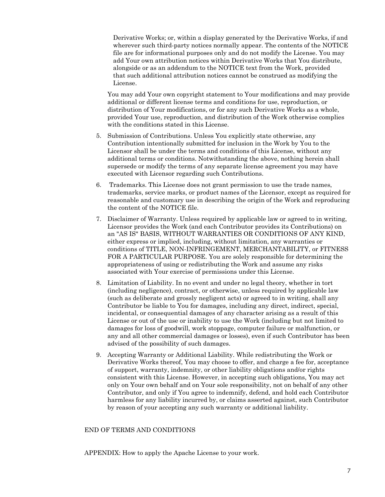Derivative Works; or, within a display generated by the Derivative Works, if and wherever such third-party notices normally appear. The contents of the NOTICE file are for informational purposes only and do not modify the License. You may add Your own attribution notices within Derivative Works that You distribute, alongside or as an addendum to the NOTICE text from the Work, provided that such additional attribution notices cannot be construed as modifying the License.

You may add Your own copyright statement to Your modifications and may provide additional or different license terms and conditions for use, reproduction, or distribution of Your modifications, or for any such Derivative Works as a whole, provided Your use, reproduction, and distribution of the Work otherwise complies with the conditions stated in this License.

- 5. Submission of Contributions. Unless You explicitly state otherwise, any Contribution intentionally submitted for inclusion in the Work by You to the Licensor shall be under the terms and conditions of this License, without any additional terms or conditions. Notwithstanding the above, nothing herein shall supersede or modify the terms of any separate license agreement you may have executed with Licensor regarding such Contributions.
- 6. Trademarks. This License does not grant permission to use the trade names, trademarks, service marks, or product names of the Licensor, except as required for reasonable and customary use in describing the origin of the Work and reproducing the content of the NOTICE file.
- 7. Disclaimer of Warranty. Unless required by applicable law or agreed to in writing, Licensor provides the Work (and each Contributor provides its Contributions) on an "AS IS" BASIS, WITHOUT WARRANTIES OR CONDITIONS OF ANY KIND, either express or implied, including, without limitation, any warranties or conditions of TITLE, NON-INFRINGEMENT, MERCHANTABILITY, or FITNESS FOR A PARTICULAR PURPOSE. You are solely responsible for determining the appropriateness of using or redistributing the Work and assume any risks associated with Your exercise of permissions under this License.
- 8. Limitation of Liability. In no event and under no legal theory, whether in tort (including negligence), contract, or otherwise, unless required by applicable law (such as deliberate and grossly negligent acts) or agreed to in writing, shall any Contributor be liable to You for damages, including any direct, indirect, special, incidental, or consequential damages of any character arising as a result of this License or out of the use or inability to use the Work (including but not limited to damages for loss of goodwill, work stoppage, computer failure or malfunction, or any and all other commercial damages or losses), even if such Contributor has been advised of the possibility of such damages.
- 9. Accepting Warranty or Additional Liability. While redistributing the Work or Derivative Works thereof, You may choose to offer, and charge a fee for, acceptance of support, warranty, indemnity, or other liability obligations and/or rights consistent with this License. However, in accepting such obligations, You may act only on Your own behalf and on Your sole responsibility, not on behalf of any other Contributor, and only if You agree to indemnify, defend, and hold each Contributor harmless for any liability incurred by, or claims asserted against, such Contributor by reason of your accepting any such warranty or additional liability.

#### END OF TERMS AND CONDITIONS

APPENDIX: How to apply the Apache License to your work.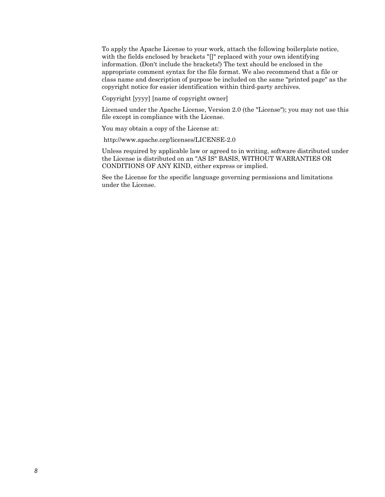To apply the Apache License to your work, attach the following boilerplate notice, with the fields enclosed by brackets "[]" replaced with your own identifying information. (Don't include the brackets!) The text should be enclosed in the appropriate comment syntax for the file format. We also recommend that a file or class name and description of purpose be included on the same "printed page" as the copyright notice for easier identification within third-party archives.

Copyright [yyyy] [name of copyright owner]

Licensed under the Apache License, Version 2.0 (the "License"); you may not use this file except in compliance with the License.

You may obtain a copy of the License at:

http://www.apache.org/licenses/LICENSE-2.0

Unless required by applicable law or agreed to in writing, software distributed under the License is distributed on an "AS IS" BASIS, WITHOUT WARRANTIES OR CONDITIONS OF ANY KIND, either express or implied.

See the License for the specific language governing permissions and limitations under the License.